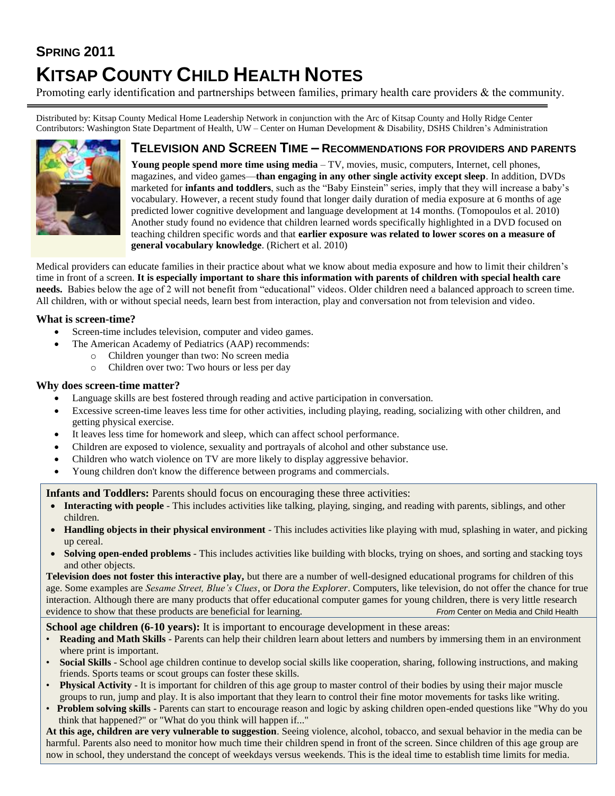# **SPRING 2011 KITSAP COUNTY CHILD HEALTH NOTES**

Promoting early identification and partnerships between families, primary health care providers & the community.

Distributed by: Kitsap County Medical Home Leadership Network in conjunction with the Arc of Kitsap County and Holly Ridge Center Contributors: Washington State Department of Health, UW – Center on Human Development & Disability, DSHS Children's Administration



# **TELEVISION AND SCREEN TIME – RECOMMENDATIONS FOR PROVIDERS AND PARENTS**

**Young people spend more time using media** – TV, movies, music, computers, Internet, cell phones, magazines, and video games—**than engaging in any other single activity except sleep**. In addition, DVDs marketed for **infants and toddlers**, such as the "Baby Einstein" series, imply that they will increase a baby's vocabulary. However, a recent study found that longer daily duration of media exposure at 6 months of age predicted lower cognitive development and language development at 14 months. (Tomopoulos et al. 2010) Another study found no evidence that children learned words specifically highlighted in a DVD focused on teaching children specific words and that **earlier exposure was related to lower scores on a measure of general vocabulary knowledge**. (Richert et al. 2010)

Medical providers can educate families in their practice about what we know about media exposure and how to limit their children's time in front of a screen. **It is especially important to share this information with parents of children with special health care needs.** Babies below the age of 2 will not benefit from "educational" videos. Older children need a balanced approach to screen time. All children, with or without special needs, learn best from interaction, play and conversation not from television and video.

## **What is screen-time?**

- Screen-time includes television, computer and video games.
	- The American Academy of Pediatrics (AAP) recommends:
		- Children younger than two: No screen media
		- o Children over two: Two hours or less per day

### **Why does screen-time matter?**

- Language skills are best fostered through reading and active participation in conversation.
- Excessive screen-time leaves less time for other activities, including playing, reading, socializing with other children, and getting physical exercise.
- It leaves less time for homework and sleep, which can affect school performance.
- Children are exposed to violence, sexuality and portrayals of alcohol and other substance use.
- Children who watch violence on TV are more likely to display aggressive behavior.
- Young children don't know the difference between programs and commercials.

**Infants and Toddlers:** Parents should focus on encouraging these three activities:

- **Interacting with people** This includes activities like talking, playing, singing, and reading with parents, siblings, and other children.
- **Handling objects in their physical environment**  This includes activities like playing with mud, splashing in water, and picking up cereal.
- **Solving open-ended problems** This includes activities like building with blocks, trying on shoes, and sorting and stacking toys and other objects.

**Television does not foster this interactive play,** but there are a number of well-designed educational programs for children of this age. Some examples are *Sesame Street, Blue's Clues*, or *Dora the Explorer*. Computers, like television, do not offer the chance for true interaction. Although there are many products that offer educational computer games for young children, there is very little research evidence to show that these products are beneficial for learning. *From* Center on Media and Child Health

#### **School age children (6-10 years):** It is important to encourage development in these areas:

- **Reading and Math Skills** Parents can help their children learn about letters and numbers by immersing them in an environment where print is important.
- **Social Skills** School age children continue to develop social skills like cooperation, sharing, following instructions, and making friends. Sports teams or scout groups can foster these skills.
- **Physical Activity** It is important for children of this age group to master control of their bodies by using their major muscle groups to run, jump and play. It is also important that they learn to control their fine motor movements for tasks like writing.
- **Problem solving skills** Parents can start to encourage reason and logic by asking children open-ended questions like "Why do you think that happened?" or "What do you think will happen if..."

**At this age, children are very vulnerable to suggestion**. Seeing violence, alcohol, tobacco, and sexual behavior in the media can be harmful. Parents also need to monitor how much time their children spend in front of the screen. Since children of this age group are now in school, they understand the concept of weekdays versus weekends. This is the ideal time to establish time limits for media.